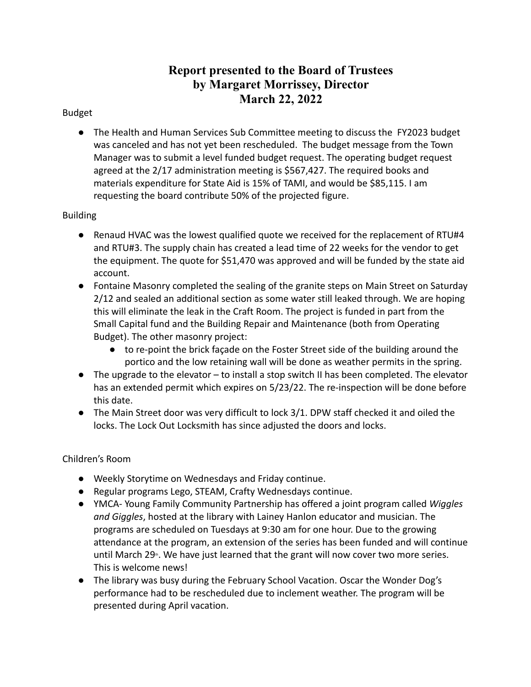# **Report presented to the Board of Trustees by Margaret Morrissey, Director March 22, 2022**

# Budget

● The Health and Human Services Sub Committee meeting to discuss the FY2023 budget was canceled and has not yet been rescheduled. The budget message from the Town Manager was to submit a level funded budget request. The operating budget request agreed at the 2/17 administration meeting is \$567,427. The required books and materials expenditure for State Aid is 15% of TAMI, and would be \$85,115. I am requesting the board contribute 50% of the projected figure.

# Building

- Renaud HVAC was the lowest qualified quote we received for the replacement of RTU#4 and RTU#3. The supply chain has created a lead time of 22 weeks for the vendor to get the equipment. The quote for \$51,470 was approved and will be funded by the state aid account.
- Fontaine Masonry completed the sealing of the granite steps on Main Street on Saturday 2/12 and sealed an additional section as some water still leaked through. We are hoping this will eliminate the leak in the Craft Room. The project is funded in part from the Small Capital fund and the Building Repair and Maintenance (both from Operating Budget). The other masonry project:
	- to re-point the brick façade on the Foster Street side of the building around the portico and the low retaining wall will be done as weather permits in the spring.
- The upgrade to the elevator to install a stop switch II has been completed. The elevator has an extended permit which expires on 5/23/22. The re-inspection will be done before this date.
- The Main Street door was very difficult to lock 3/1. DPW staff checked it and oiled the locks. The Lock Out Locksmith has since adjusted the doors and locks.

# Children's Room

- Weekly Storytime on Wednesdays and Friday continue.
- Regular programs Lego, STEAM, Crafty Wednesdays continue.
- YMCA- Young Family Community Partnership has offered a joint program called *Wiggles and Giggles*, hosted at the library with Lainey Hanlon educator and musician. The programs are scheduled on Tuesdays at 9:30 am for one hour. Due to the growing attendance at the program, an extension of the series has been funded and will continue until March 29<sup>th</sup>. We have just learned that the grant will now cover two more series. This is welcome news!
- The library was busy during the February School Vacation. Oscar the Wonder Dog's performance had to be rescheduled due to inclement weather. The program will be presented during April vacation.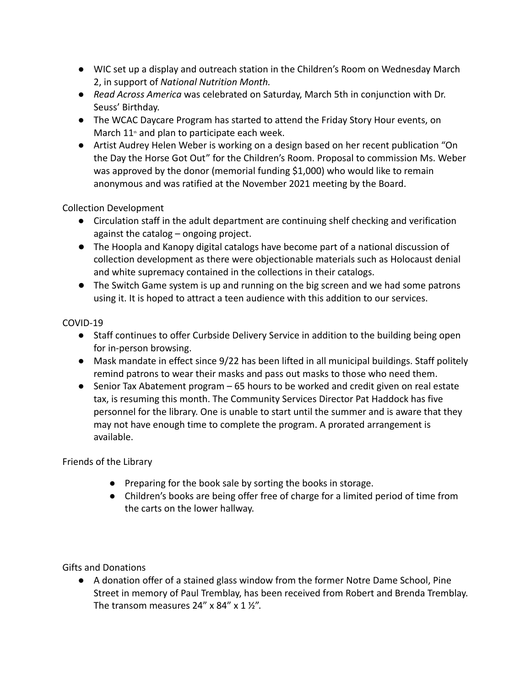- *●* WIC set up a display and outreach station in the Children's Room on Wednesday March 2, in support of *National Nutrition Month.*
- *● Read Across America* was celebrated on Saturday, March 5th in conjunction with Dr. Seuss' Birthday.
- The WCAC Daycare Program has started to attend the Friday Story Hour events, on March  $11<sup>th</sup>$  and plan to participate each week.
- Artist Audrey Helen Weber is working on a design based on her recent publication "On the Day the Horse Got Out" for the Children's Room. Proposal to commission Ms. Weber was approved by the donor (memorial funding \$1,000) who would like to remain anonymous and was ratified at the November 2021 meeting by the Board.

Collection Development

- Circulation staff in the adult department are continuing shelf checking and verification against the catalog – ongoing project.
- The Hoopla and Kanopy digital catalogs have become part of a national discussion of collection development as there were objectionable materials such as Holocaust denial and white supremacy contained in the collections in their catalogs.
- The Switch Game system is up and running on the big screen and we had some patrons using it. It is hoped to attract a teen audience with this addition to our services.

# COVID-19

- Staff continues to offer Curbside Delivery Service in addition to the building being open for in-person browsing.
- Mask mandate in effect since 9/22 has been lifted in all municipal buildings. Staff politely remind patrons to wear their masks and pass out masks to those who need them.
- Senior Tax Abatement program 65 hours to be worked and credit given on real estate tax, is resuming this month. The Community Services Director Pat Haddock has five personnel for the library. One is unable to start until the summer and is aware that they may not have enough time to complete the program. A prorated arrangement is available.

Friends of the Library

- Preparing for the book sale by sorting the books in storage.
- Children's books are being offer free of charge for a limited period of time from the carts on the lower hallway.

Gifts and Donations

● A donation offer of a stained glass window from the former Notre Dame School, Pine Street in memory of Paul Tremblay, has been received from Robert and Brenda Tremblay. The transom measures  $24''$  x  $84''$  x  $1\frac{1}{2}$ .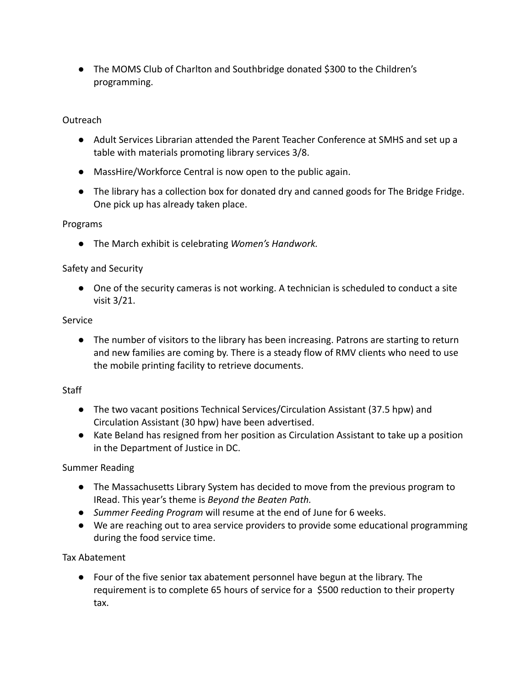● The MOMS Club of Charlton and Southbridge donated \$300 to the Children's programming.

#### **Outreach**

- Adult Services Librarian attended the Parent Teacher Conference at SMHS and set up a table with materials promoting library services 3/8.
- MassHire/Workforce Central is now open to the public again.
- The library has a collection box for donated dry and canned goods for The Bridge Fridge. One pick up has already taken place.

#### Programs

● The March exhibit is celebrating *Women's Handwork.*

#### Safety and Security

● One of the security cameras is not working. A technician is scheduled to conduct a site visit 3/21.

#### Service

● The number of visitors to the library has been increasing. Patrons are starting to return and new families are coming by. There is a steady flow of RMV clients who need to use the mobile printing facility to retrieve documents.

#### **Staff**

- The two vacant positions Technical Services/Circulation Assistant (37.5 hpw) and Circulation Assistant (30 hpw) have been advertised.
- Kate Beland has resigned from her position as Circulation Assistant to take up a position in the Department of Justice in DC.

#### Summer Reading

- The Massachusetts Library System has decided to move from the previous program to IRead. This year's theme is *Beyond the Beaten Path.*
- *● Summer Feeding Program* will resume at the end of June for 6 weeks.
- We are reaching out to area service providers to provide some educational programming during the food service time.

#### Tax Abatement

● Four of the five senior tax abatement personnel have begun at the library. The requirement is to complete 65 hours of service for a \$500 reduction to their property tax.